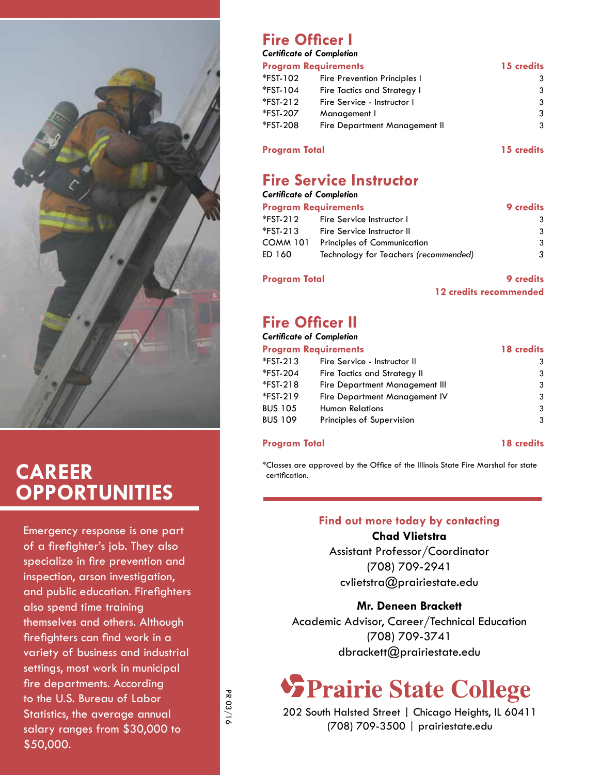

## **Career Opportunities**

Emergency response is one part of a firefighter's job. They also specialize in fire prevention and inspection, arson investigation, and public education. Firefighters also spend time training themselves and others. Although firefighters can find work in a variety of business and industrial settings, most work in municipal fire departments. According to the U.S. Bureau of Labor Statistics, the average annual salary ranges from \$30,000 to \$50,000.

## **Fire Officer I**

#### *Certificate of Completion*

| <b>Program Requirements</b> |                               | 15 credits |
|-----------------------------|-------------------------------|------------|
| *FST-102                    | Fire Prevention Principles I  | 3          |
| *FST-104                    | Fire Tactics and Strategy I   | 3          |
| *FST-212                    | Fire Service - Instructor I   | 3          |
| *FST-207                    | Management I                  | 3          |
| *FST-208                    | Fire Department Management II | 3          |
|                             |                               |            |

#### **Program Total 15 credits**

## **Fire Service Instructor**

| Certificate of Completion |                                       |                  |
|---------------------------|---------------------------------------|------------------|
|                           | <b>Program Requirements</b>           | <b>9</b> credits |
| *FST-212                  | Fire Service Instructor I             | 3                |
| *FST-213                  | Fire Service Instructor II            | 3                |
| COMM 101                  | <b>Principles of Communication</b>    | 3                |
| ED 160                    | Technology for Teachers (recommended) | 3                |

#### **Program Total 9 credits**

**12 credits recommended**

## **Fire Officer II**

#### *Certificate of Completion*

| <b>Program Requirements</b> |                                | 18 credits |  |
|-----------------------------|--------------------------------|------------|--|
| *FST-213                    | Fire Service - Instructor II   | 3          |  |
| *FST-204                    | Fire Tactics and Strategy II   | 3          |  |
| *FST-218                    | Fire Department Management III | 3          |  |
| *FST-219                    | Fire Department Management IV  | 3          |  |
| BUS 105                     | <b>Human Relations</b>         | 3          |  |
| BUS 109                     | Principles of Supervision      | 3          |  |
|                             |                                |            |  |

#### **Program Total 18 credits**

\*Classes are approved by the Office of the Illinois State Fire Marshal for state certification.

#### **Find out more today by contacting**

**Chad Vlietstra** Assistant Professor/Coordinator (708) 709-2941

cvlietstra@prairiestate.edu

#### **Mr. Deneen Brackett**

Academic Advisor, Career/Technical Education (708) 709-3741 dbrackett@prairiestate.edu

## **SPrairie State College**

202 South Halsted Street | Chicago Heights, IL 60411 (708) 709-3500 | prairiestate.edu

PR 03/16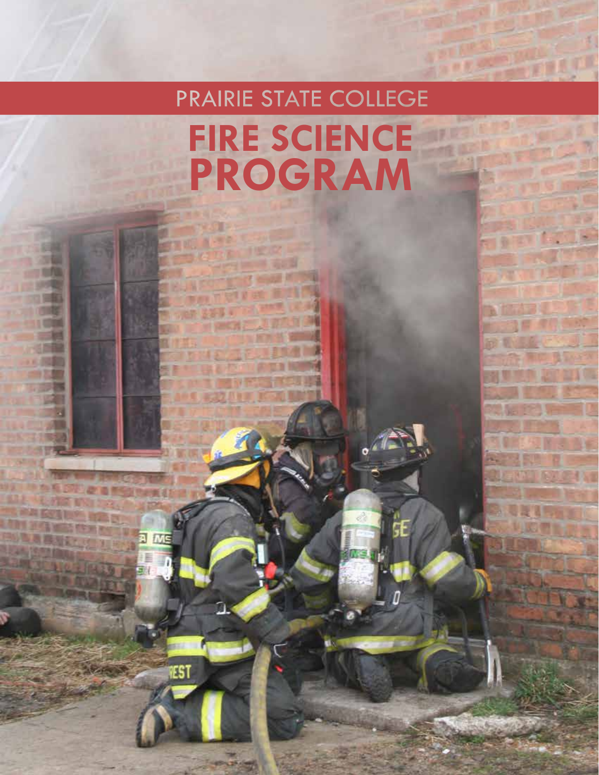# **PRAIRIE STATE COLLEGE Fire Science Program**

**EST**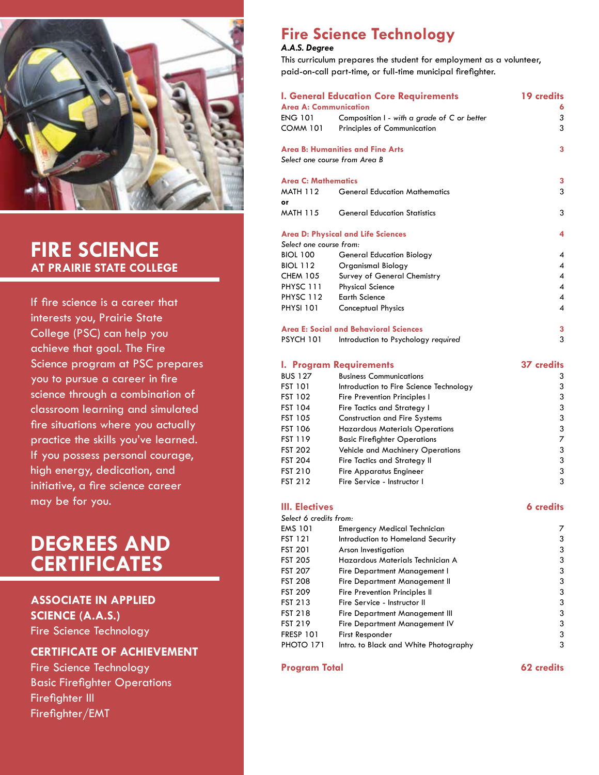

## **Fire Science at Prairie State College**

If fire science is a career that interests you, Prairie State College (PSC) can help you achieve that goal. The Fire Science program at PSC prepares you to pursue a career in fire science through a combination of classroom learning and simulated fire situations where you actually practice the skills you've learned. If you possess personal courage, high energy, dedication, and initiative, a fire science career may be for you.

## **degrees and certificates**

#### **Associate in Applied Science (A.A.S.)**

Fire Science Technology

#### **Certificate of Achievement**

Fire Science Technology Basic Firefighter Operations Firefighter III Firefighter/EMT

## **Fire Science Technology**

#### *A.A.S. Degree*

This curriculum prepares the student for employment as a volunteer, paid-on-call part-time, or full-time municipal firefighter.

| Area A: Communication         | <b>I. General Education Core Requirements</b> | <b>19 credits</b>        |
|-------------------------------|-----------------------------------------------|--------------------------|
|                               |                                               | 6                        |
| <b>ENG 101</b>                | Composition I - with a grade of C or better   | 3                        |
| <b>COMM 101</b>               | Principles of Communication                   | 3                        |
|                               | <b>Area B: Humanities and Fine Arts</b>       | 3                        |
| Select one course from Area B |                                               |                          |
| <b>Area C: Mathematics</b>    |                                               | 3                        |
| <b>MATH 112</b>               | <b>General Education Mathematics</b>          | 3                        |
| or                            |                                               |                          |
| <b>MATH 115</b>               | <b>General Education Statistics</b>           | 3                        |
|                               |                                               |                          |
|                               | <b>Area D: Physical and Life Sciences</b>     | 4                        |
| Select one course from:       |                                               |                          |
| <b>BIOL 100</b>               | <b>General Education Biology</b>              | $\boldsymbol{A}$         |
| <b>BIOL 112</b>               | Organismal Biology                            | 4                        |
| <b>CHEM 105</b>               | Survey of General Chemistry                   | 4                        |
| PHYSC 111                     | <b>Physical Science</b>                       | $\overline{\mathcal{A}}$ |
| PHYSC 112                     | <b>Earth Science</b>                          | 4                        |
| <b>PHYSI 101</b>              | Conceptual Physics                            | 4                        |
|                               |                                               |                          |
|                               | Area E: Social and Behavioral Sciences        | 3                        |

#### PSYCH 101 Introduction to Psychology *required* 3

#### **I. Program Requirements 37 credits** BUS 127 Business Communications 3 FST 101 Introduction to Fire Science Technology 3 FST 102 Fire Prevention Principles I 3 FST 104 Fire Tactics and Strategy I 3 FST 105 Construction and Fire Systems 3 FST 106 Hazardous Materials Operations 3 FST 119 Basic Firefighter Operations 7 FST 202 Vehicle and Machinery Operations 3 FST 204 Fire Tactics and Strategy II 3 FST 210 Fire Apparatus Engineer 3 FST 212 Fire Service - Instructor I 3

#### **III. Electives 6 credits**

| Select 6 credits from: |                                       |   |
|------------------------|---------------------------------------|---|
| EMS 101                | <b>Emergency Medical Technician</b>   | 7 |
| FST 121                | Introduction to Homeland Security     | 3 |
| FST 201                | Arson Investigation                   | 3 |
| FST 205                | Hazardous Materials Technician A      | 3 |
| FST 207                | Fire Department Management I          | 3 |
| FST 208                | Fire Department Management II         | 3 |
| FST 209                | Fire Prevention Principles II         | 3 |
| FST 213                | Fire Service - Instructor II          | 3 |
| FST 218                | Fire Department Management III        | 3 |
| FST 219                | Fire Department Management IV         | 3 |
| FRESP 101              | First Responder                       | 3 |
| PHOTO 171              | Intro. to Black and White Photography | 3 |

#### **Program Total 62 credits**